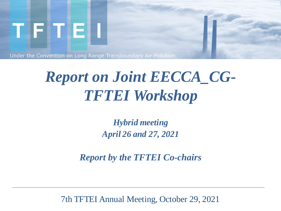

Under the Convention on Long Range Transboundary Air Pollution

## *Report on Joint EECCA\_CG-TFTEI Workshop*

*Hybrid meeting April 26 and 27, 2021*

*Report by the TFTEI Co-chairs*

7th TFTEI Annual Meeting, October 29, 2021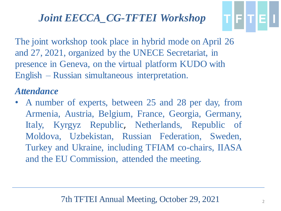The joint workshop took place in hybrid mode on April 26 and 27, 2021, organized by the UNECE Secretariat, in presence in Geneva, on the virtual platform KUDO with English – Russian simultaneous interpretation.

#### *Attendance*

• A number of experts, between 25 and 28 per day, from Armenia, Austria, Belgium, France, Georgia, Germany, Italy, Kyrgyz Republic, Netherlands, Republic of Moldova, Uzbekistan, Russian Federation, Sweden, Turkey and Ukraine, including TFIAM co-chairs, IIASA and the EU Commission, attended the meeting.

TFITEI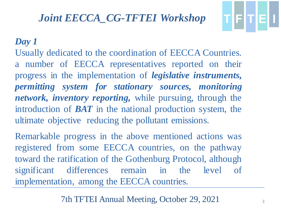#### *Day 1*

Usually dedicated to the coordination of EECCA Countries. a number of EECCA representatives reported on their progress in the implementation of *legislative instruments, permitting system for stationary sources, monitoring network, inventory reporting,* while pursuing, through the introduction of *BAT* in the national production system, the ultimate objective reducing the pollutant emissions.

Remarkable progress in the above mentioned actions was registered from some EECCA countries, on the pathway toward the ratification of the Gothenburg Protocol, although significant differences remain in the level of implementation, among the EECCA countries.

7th TFTEI Annual Meeting, October 29, 2021

TFTEI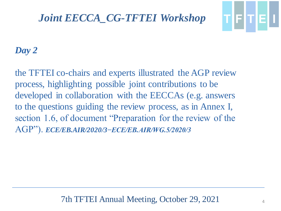

#### *Day 2*

the TFTEI co-chairs and experts illustrated the AGP review process, highlighting possible joint contributions to be developed in collaboration with the EECCAs (e.g. answers to the questions guiding the review process, as in Annex I, section 1.6, of document "Preparation for the review of the AGP"). *ECE/EB.AIR/2020/3−ECE/EB.AIR/WG.5/2020/3*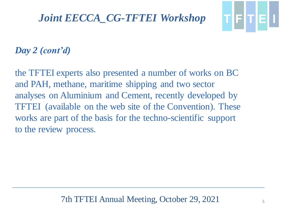

#### *Day 2 (cont'd)*

the TFTEI experts also presented a number of works on BC and PAH, methane, maritime shipping and two sector analyses on Aluminium and Cement, recently developed by TFTEI (available on the web site of the Convention). These works are part of the basis for the techno-scientific support to the review process.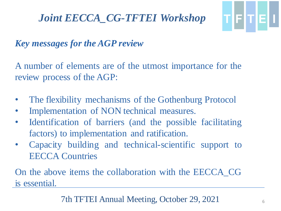# T|F|T|E|I

## *Key messages for the AGP review*

A number of elements are of the utmost importance for the review process of the AGP:

- The flexibility mechanisms of the Gothenburg Protocol
- Implementation of NON technical measures.
- Identification of barriers (and the possible facilitating factors) to implementation and ratification.
- Capacity building and technical-scientific support to EECCA Countries

On the above items the collaboration with the EECCA\_CG is essential.

#### 7th TFTEI Annual Meeting, October 29, 2021